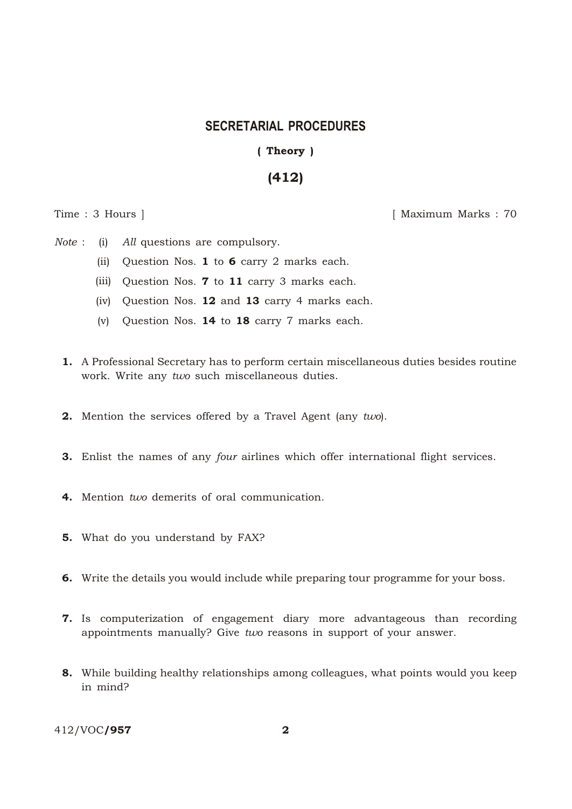## **SECRETARIAL PROCEDURES**

(Theory)

## (412)

Time : 3 Hours ] [ Maximum Marks : 70

*Note* : (i) *All* questions are compulsory.

- (ii) Question Nos. 1 to 6 carry 2 marks each.
- (iii) Question Nos. 7 to 11 carry 3 marks each.
- (iv) Question Nos. 12 and 13 carry 4 marks each.
- (v) Question Nos. 14 to 18 carry 7 marks each.
- 1. A Professional Secretary has to perform certain miscellaneous duties besides routine work. Write any *two* such miscellaneous duties.
- 2. Mention the services offered by a Travel Agent (any *two*).
- 3. Enlist the names of any *four* airlines which offer international flight services.
- 4. Mention *two* demerits of oral communication.
- 5. What do you understand by FAX?
- 6. Write the details you would include while preparing tour programme for your boss.
- 7. Is computerization of engagement diary more advantageous than recording appointments manually? Give *two* reasons in support of your answer.
- 8. While building healthy relationships among colleagues, what points would you keep in mind?

412/VOC/957 2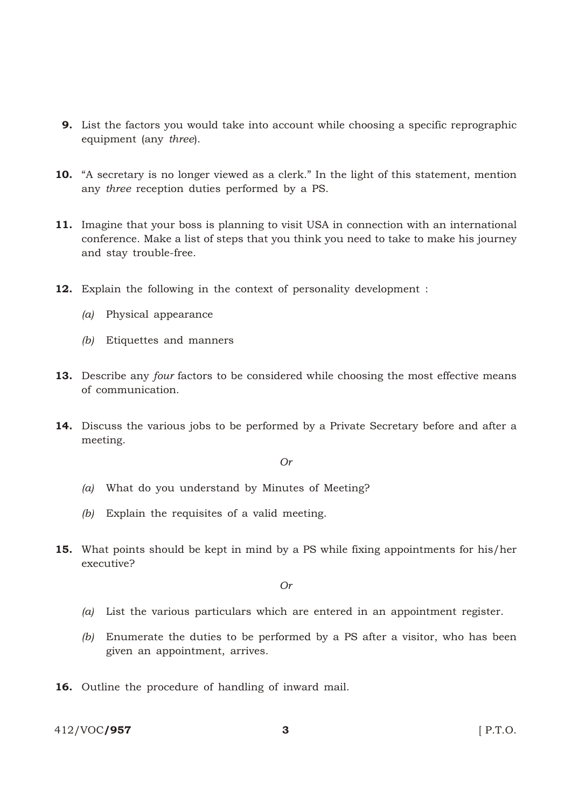- 9. List the factors you would take into account while choosing a specific reprographic equipment (any *three*).
- 10. "A secretary is no longer viewed as a clerk." In the light of this statement, mention any *three* reception duties performed by a PS.
- 11. Imagine that your boss is planning to visit USA in connection with an international conference. Make a list of steps that you think you need to take to make his journey and stay trouble-free.
- 12. Explain the following in the context of personality development :
	- *(a)* Physical appearance
	- *(b)* Etiquettes and manners
- 13. Describe any *four* factors to be considered while choosing the most effective means of communication.
- 14. Discuss the various jobs to be performed by a Private Secretary before and after a meeting.

*Or*

- *(a)* What do you understand by Minutes of Meeting?
- *(b)* Explain the requisites of a valid meeting.
- 15. What points should be kept in mind by a PS while fixing appointments for his/her executive?

*Or*

- *(a)* List the various particulars which are entered in an appointment register.
- *(b)* Enumerate the duties to be performed by a PS after a visitor, who has been given an appointment, arrives.
- 16. Outline the procedure of handling of inward mail.

412/VOC/**957** 3 F.T.O.